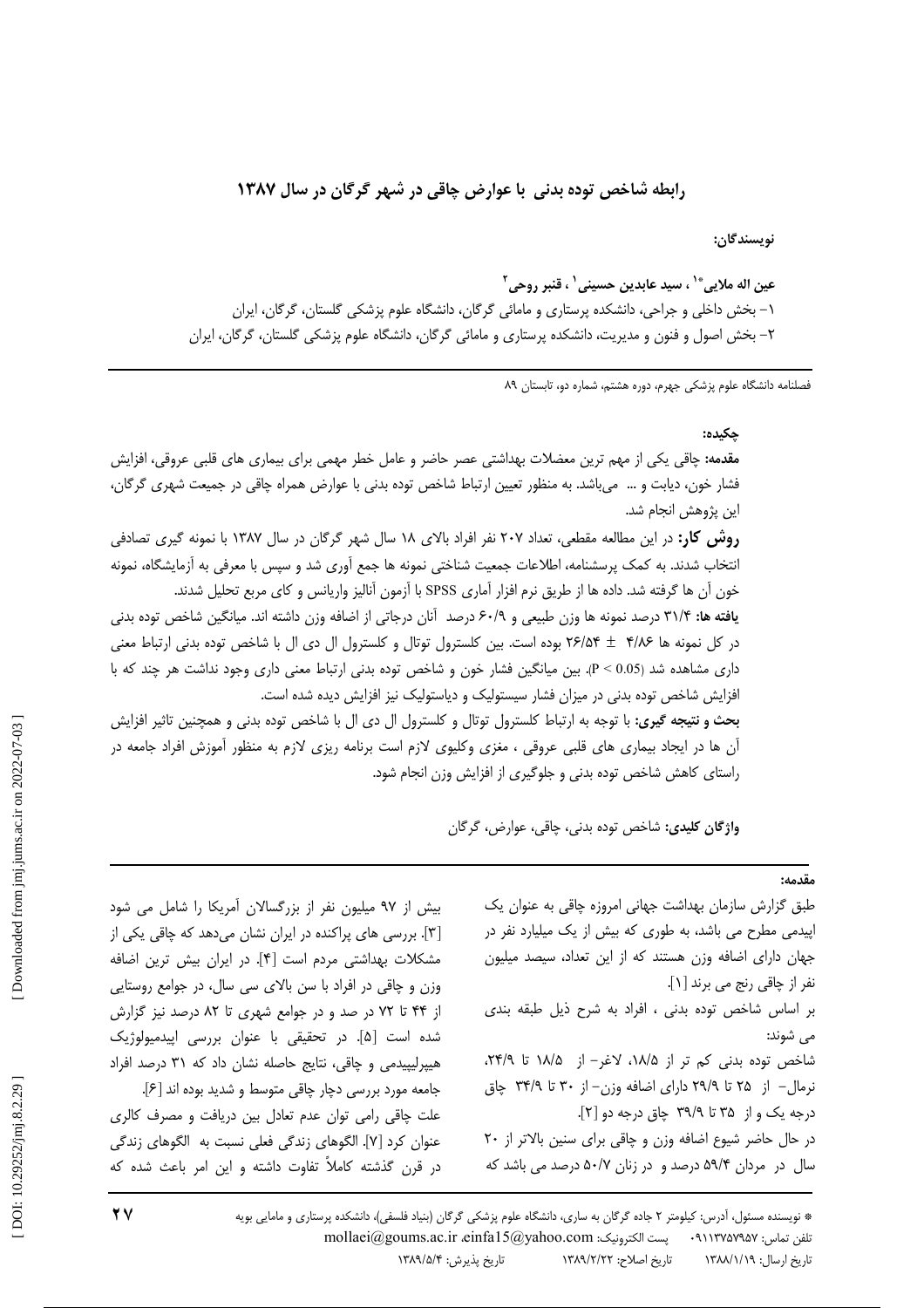## رابطه شاخص توده بدنی با عوارض چاقی در شهر گرگان در سال ۱۳۸۷

نويسندگان:

عين اله ملايي®` ، سيد عابدين حسيني` ، قنبر روحي<sup>٢</sup> ۱– بخش داخلی و جراحی، دانشکده پرستاری و مامائی گرگان، دانشگاه علوم پزشکی گلستان، گرگان، ایران ۲– بخش اصول و فنون و مدیریت، دانشکده پرستاری و مامائی گرگان، دانشگاه علوم پزشکی گلستان، گرگان، ایران

فصلنامه دانشگاه علوم پزشکی جهرم، دوره هشتم، شماره دو، تابستان ۸۹

### حكىدە:

مقدمه: چاقی یکی از مهم ترین معضلات بهداشتی عصر حاضر و عامل خطر مهمی برای بیماری های قلبی عروقی، افزایش فشار خون، دیابت و … می باشد. به منظور تعیین ارتباط شاخص توده بدنی با عوارض همراه چاقی در جمیعت شهری گرگان، این پژوهش انجام شد.

**روش کار:** در این مطالعه مقطعی، تعداد ۲۰۷ نفر افراد بالای ۱۸ سال شهر گرگان در سال ۱۳۸۷ با نمونه گیری تصادفی انتخاب شدند. به کمک پرسشنامه، اطلاعات جمعیت شناختی نمونه ها جمع آوری شد و سپس با معرفی به آزمایشگاه، نمونه خون آن ها گرفته شد. داده ها از طريق نرم افزار آماري SPSS با آزمون آناليز واريانس و كاي مربع تحليل شدند.

**یافته ها:** ۳۱/۴ درصد نمونه ها وزن طبیعی و ۶۰/۹ درصد آنان درجاتی از اضافه وزن داشته اند. میانگین شاخص توده بدنی در كل نمونه ها ٢/١٨۶ + ٢۶/۵۴ بوده است. بين كلسترول توتال و كلسترول ال دى ال با شاخص توده بدنى ارتباط معنى داری مشاهده شد (0.05 > P). بین میانگین فشار خون و شاخص توده بدنی ارتباط معنی داری وجود نداشت هر چند که با افزایش شاخص توده بدنی در میزان فشار سیستولیک و دیاستولیک نیز افزایش دیده شده است.

بحث و نتیجه گیری: با توجه به ارتباط کلسترول توتال و کلسترول ال دی ال با شاخص توده بدنی و همچنین تاثیر افزایش آن ها در ایجاد بیماری های قلبی عروقی ، مغزی وکلیوی لازم است برنامه ریزی لازم به منظور آموزش افراد جامعه در راستای کاهش شاخص توده بدنی و جلوگیری از افزایش وزن انجام شود.

واژگان كليدى: شاخص توده بدنى، چاقى، عوارض، گرگان

### $4.19.$

طبق گزارش سازمان بهداشت جهانی امروزه چاقی به عنوان یک اپیدمی مطرح می باشد، به طوری که بیش از یک میلیارد نفر در جهان دارای اضافه وزن هستند که از این تعداد، سیصد میلیون نفر از چاقی رنج می برند [۱]. بر اساس شاخص توده بدنى ، افراد به شرح ذيل طبقه بندى مي شوند: شاخص توده بدنی کم تر از ۱۸/۵، لاغر- از ۱۸/۵، تا ۲۴/۹، نرمال– از ۲۵ تا ۲۹/۹ دارای اضافه وزن– از ۳۰ تا ۳۴/۹ چاق درجه یک و از ۳۵ تا ۳۹/۹ چاق درجه دو [۲]. در حال حاضر شیوع اضافه وزن و چاقی برای سنین بالاتر از ٢٠ سال در مردان ۵۹/۴ درصد و در زنان ۵۰/۷ درصد می باشد که

بیش از ۹۷ میلیون نفر از بزرگسالان آمریکا را شامل می شود [۳]. بررسی های پراکنده در ایران نشان میدهد که چاقی یکی از مشكلات بهداشتى مردم است [۴]. در ايران بيش ترين اضافه وزن و چاقی در افراد با سن بالای سی سال، در جوامع روستایی از ۴۴ تا ۷۲ در صد و در جوامع شهری تا ۸۲ درصد نیز گزارش شده است [۵]. در تحقیقی با عنوان بررسی اپیدمیولوژیک هیپرلیپیدمی و چاقی، نتایج حاصله نشان داد که ۳۱ درصد افراد جامعه مورد بررسي دچار چاقي متوسط و شديد بوده اند [۶]. علت چاقی رامی توان عدم تعادل بین دریافت و مصرف کالری عنوان كرد [٧]. الگوهاى زندگى فعلى نسبت به الگوهاى زندگى در قرن گذشته کاملاً تفاوت داشته و این امر باعث شده که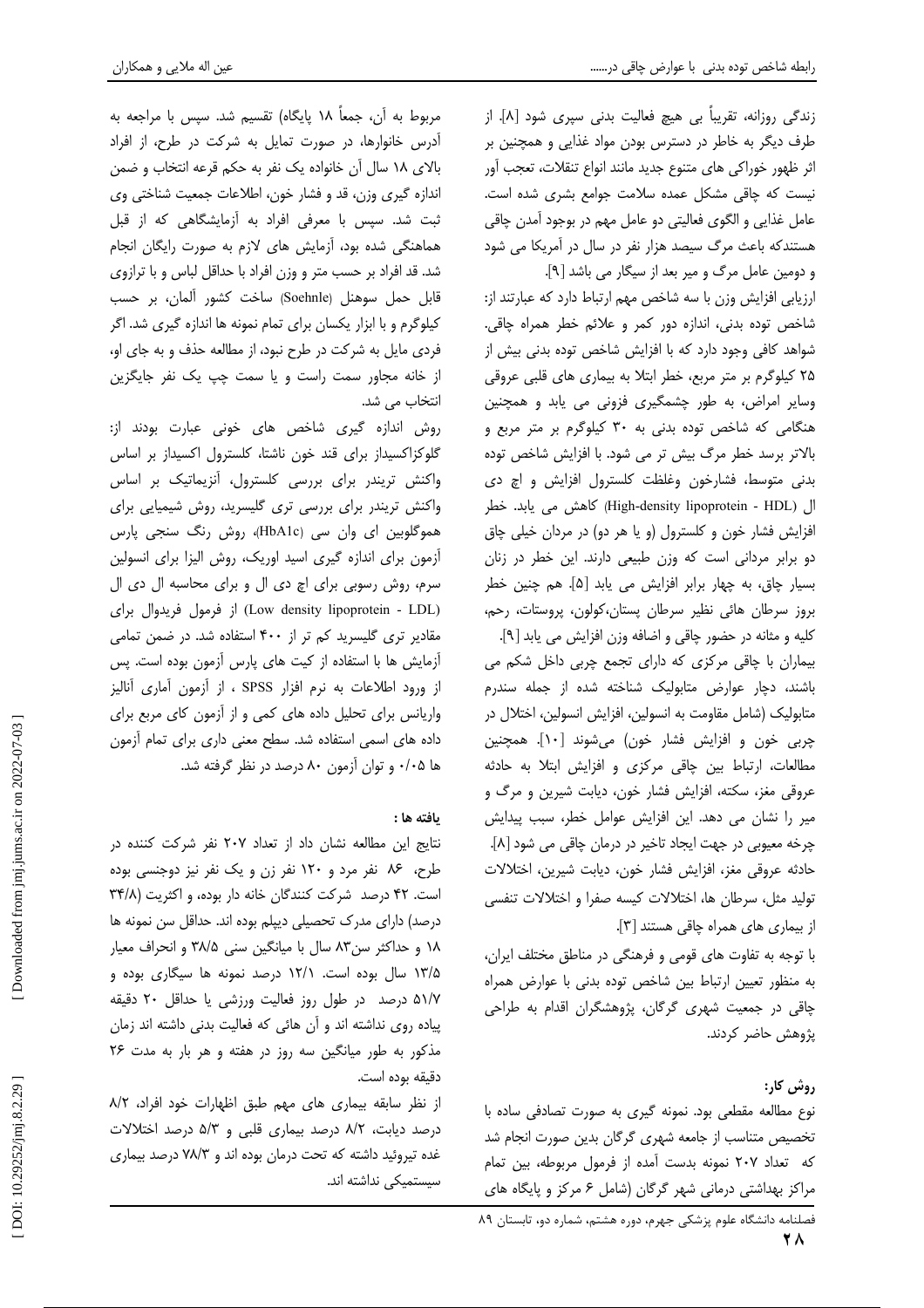عین اله ملایی و همکاران

زندگی روزانه، تقریباً بی هیچ فعالیت بدنی سیری شود [۸]. از طرف دیگر به خاطر در دسترس بودن مواد غذایی و همچنین بر اثر ظهور خوراكي هاي متنوع جديد مانند انواع تنقلات، تعجب آور نیست که چاقی مشکل عمده سلامت جوامع بشری شده است. عامل غذایی و الگوی فعالیتی دو عامل مهم در بوجود آمدن چاقی هستندکه باعث مرگ سیصد هزار نفر در سال در آمریکا می شود و دومین عامل مرگ و میر بعد از سیگار می باشد [۹].

ارزیابی افزایش وزن با سه شاخص مهم ارتباط دارد که عبارتند از: شاخص توده بدنی، اندازه دور کمر و علائم خطر همراه چاقی. شواهد کافی وجود دارد که با افزایش شاخص توده بدنی بیش از ۲۵ کیلوگرم بر متر مربع، خطر ابتلا به بیماری های قلبی عروقی وسایر امراض، به طور چشمگیری فزونی می یابد و همچنین هنگامی که شاخص توده بدنی به ۳۰ کیلوگرم بر متر مربع و بالاتر برسد خطر مرگ بیش تر می شود. با افزایش شاخص توده بدنی متوسط، فشارخون وغلظت کلسترول افزایش و اچ دی ال (High-density lipoprotein - HDL) كاهش مى يابد. خطر افزایش فشار خون و کلسترول (و یا هر دو) در مردان خیلی چاق دو برابر مردانی است که وزن طبیعی دارند. این خطر در زنان بسيار چاق، به چهار برابر افزايش مى يابد [۵]. هم چنين خطر بروز سرطان هائی نظیر سرطان پستان،کولون، پروستات، رحم،

كليه و مثانه در حضور چاقى و اضافه وزن افزايش مى يابد [٩]. بیماران با چاقی مرکزی که دارای تجمع چربی داخل شکم می باشند، دچار عوارض متابولیک شناخته شده از جمله سندرم متابولیک (شامل مقاومت به انسولین، افزایش انسولین، اختلال در چربی خون و افزایش فشار خون) میشوند [۱۰]. همچنین مطالعات، ارتباط بين چاقى مركزى و افزايش ابتلا به حادثه عروقی مغز، سکته، افزایش فشار خون، دیابت شیرین و مرگ و میر را نشان می دهد. این افزایش عوامل خطر، سبب پیدایش چرخه معیوبی در جهت ایجاد تاخیر در درمان چاقی می شود [۸]. حادثه عروقی مغز، افزایش فشار خون، دیابت شیرین، اختلالات تولید مثل، سرطان ها، اختلالات کیسه صفرا و اختلالات تنفسی از بیماری های همراه چاقی هستند [۳].

با توجه به تفاوت های قومی و فرهنگی در مناطق مختلف ایران، به منظور تعیین ارتباط بین شاخص توده بدنی با عوارض همراه چاقی در جمعیت شهری گرگان، پژوهشگران اقدام به طراحی يژوهش حاضر كردند.

روش کار:

نوع مطالعه مقطعی بود. نمونه گیری به صورت تصادفی ساده با تخصیص متناسب از جامعه شهری گرگان بدین صورت انجام شد كه تعداد ٢٠٧ نمونه بدست آمده از فرمول مربوطه، بين تمام مراکز بهداشتی درمانی شهر گرگان (شامل ۶ مرکز و پایگاه های

# .<br>فصلنامه دانشگاه علوم یزشکی جهرم، دوره هشتم، شماره دو، تابستان ۸۹

مربوط به آن، جمعاً ۱۸ پایگاه) تقسیم شد. سپس با مراجعه به آدرس خانوارها، در صورت تمایل به شرکت در طرح، از افراد بالای ١٨ سال آن خانواده يک نفر به حکم قرعه انتخاب و ضمن اندازه گیری وزن، قد و فشار خون، اطلاعات جمعیت شناختی وی ثبت شد. سپس با معرفی افراد به آزمایشگاهی که از قبل هماهنگی شده بود، آزمایش های لازم به صورت رایگان انجام شد. قد افراد بر حسب متر و وزن افراد با حداقل لباس و با ترازوي قابل حمل سوهنل (Soehnle) ساخت کشور آلمان، بر حسب کیلوگرم و با ابزار یکسان برای تمام نمونه ها اندازه گیری شد. اگر فردی مایل به شرکت در طرح نبود، از مطالعه حذف و به جای او، از خانه مجاور سمت راست و یا سمت چپ یک نفر جایگزین انتخاب مے شد.

روش اندازه گیری شاخص های خونی عبارت بودند از: گلوکزاکسیداز برای قند خون ناشتا، کلسترول اکسیداز بر اساس واکنش تریندر برای بررسی کلسترول، آنزیماتیک بر اساس واکنش تریندر برای بررسی تری گلیسرید، روش شیمیایی برای هموگلوبین ای وان سی (HbA1c)، روش رنگ سنجی پارس آزمون برای اندازه گیری اسید اوریک، روش الیزا برای انسولین سرم، روش رسوبی برای اچ دی ال و برای محاسبه ال دی ال (Low density lipoprotein - LDL) از فرمول فريدوال براي مقادیر تری گلیسرید کم تر از ۴۰۰ استفاده شد. در ضمن تمامی آزمایش ها با استفاده از کیت های پارس آزمون بوده است. پس از ورود اطلاعات به نرم افزار SPSS ، از آزمون آماری آنالیز واریانس برای تحلیل داده های کمی و از آزمون کای مربع برای داده های اسمی استفاده شد. سطح معنی داری برای تمام آزمون ها ۰/۰۵ و توان آزمون ۸۰ درصد در نظر گرفته شد.

## يافته ها :

نتایج این مطالعه نشان داد از تعداد ۲۰۷ نفر شرکت کننده در طرح، ۸۶ نفر مرد و ۱۲۰ نفر زن و یک نفر نیز دوجنسی بوده است. ۴۲ درصد شرکت کنندگان خانه دار بوده، و اکثریت (۳۴/۸ درصد) دارای مدرک تحصیلی دیپلم بوده اند. حداقل سن نمونه ها ١٨ و حداكثر سن٨٣ سال با ميانگين سنى ٣٨/۵ و انحراف معيار ۱۳/۵ سال بوده است. ۱۲/۱ درصد نمونه ها سیگاری بوده و ۵۱/۷ درصد در طول روز فعالیت ورزشی یا حداقل ۲۰ دقیقه پیاده روی نداشته اند و آن هائی که فعالیت بدنی داشته اند زمان مذکور به طور میانگین سه روز در هفته و هر بار به مدت ۲۶ دقيقه بوده است.

از نظر سابقه بیماری های مهم طبق اظهارات خود افراد، ٨/٢ درصد دیابت، ۸/۲ درصد بیماری قلبی و ۵/۳ درصد اختلالات غده تیروئید داشته که تحت درمان بوده اند و ۷۸/۳ درصد بیماری سیستمیکی نداشته اند.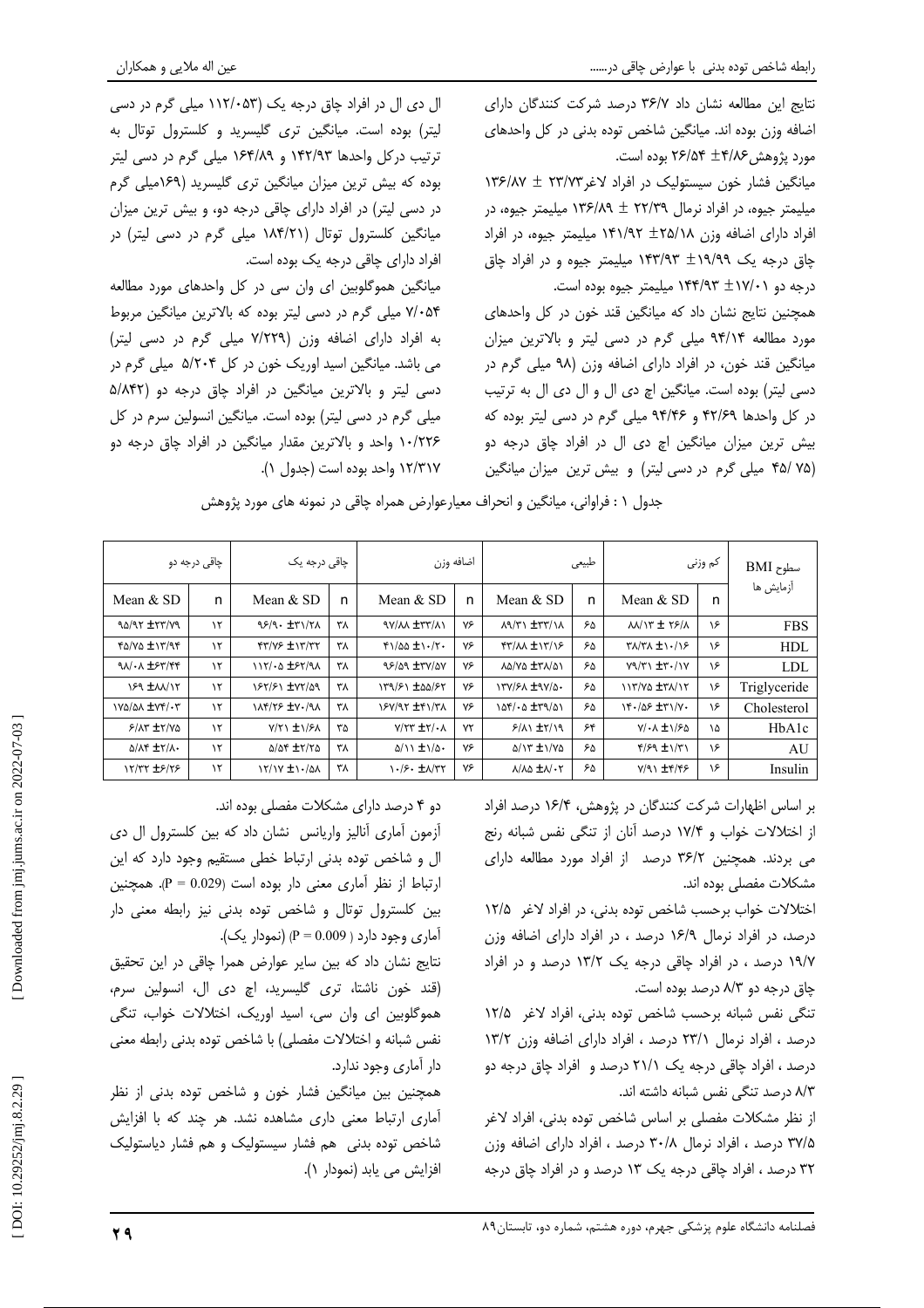مورد پژوهش ۲۶/۵۴ ±۴/۸۶ بوده است.

نتايج اين مطالعه نشان داد ٣۶/٧ درصد شركت كنندگان داراي

اضافه وزن بوده اند. میانگین شاخص توده بدنی در کل واحدهای

میانگین فشار خون سیستولیک در افراد لاغر ۲۳/۷۳ ± ۱۳۶/۸۷

میلیمتر جیوه، در افراد نرمال ۲۲/۳۹ ± ۱۳۶/۸۹ میلیمتر جیوه، در

افراد دارای اضافه وزن ۱۴۱/۹۲ + ۱۴۱/۹۲ میلیمتر جیوه، در افراد

چاق درجه یک ۱۹/۹۹ ± ۱۴۳/۹۳ میلیمتر جیوه و در افراد چاق

همچنین نتایج نشان داد که میانگین قند خون در کل واحدهای

مورد مطالعه ۹۴/۱۴ میلی گرم در دسی لیتر و بالاترین میزان

میانگین قند خون، در افراد دارای اضافه وزن (۹۸ میلی گرم در

دسی لیتر) بوده است. میانگین اچ دی ال و ال دی ال به ترتیب

در کل واحدها ۴۲/۶۹ و ۹۴/۴۶ میلی گرم در دسی لیتر بوده که

بیش ترین میزان میانگین اچ دی ال در افراد چاق درجه دو

(۳۵/ ۴۵/ میلی گرم در دسی لیتر) و بیش ترین میزان میانگین

درجه دو ۱۷/۰۱ ۱۴۴/۹۳ میلیمتر جیوه بوده است.

ال دی ال در افراد چاق درجه یک (۱۱۲/۰۵۳ میلی گرم در دسی لیتر) بوده است. میانگین تری گلیسرید و کلسترول توتال به ترتیب درکل واحدها ۱۴۲/۹۳ و ۱۶۴/۸۹ میلی گرم در دسی لیتر بوده که بیش ترین میزان میانگین تری گلیسرید (۱۶۹میلی گرم در دسی لیتر) در افراد دارای چاقی درجه دو، و بیش ترین میزان میانگین کلسترول توتال (۱۸۴/۲۱ میلی گرم در دسی لیتر) در افراد دارای چاقی درجه یک بوده است.

میانگین هموگلوبین ای وان سی در کل واحدهای مورد مطالعه ۷/۰۵۴ میلی گرم در دسی لیتر بوده که بالاترین میانگین مربوط به افراد دارای اضافه وزن (۷/۲۲۹ میلی گرم در دسی لیتر) می باشد. میانگین اسید اوریک خون در کل ۵/۲۰۴ میلی گرم در دسی لیتر و بالاترین میانگین در افراد چاق درجه دو (۵/۸۴۲ میلی گرم در دسی لیتر) بوده است. میانگین انسولین سرم در کل ۱۰/۲۲۶ واحد و بالاترین مقدار میانگین در افراد چاق درجه دو ۱۲/۳۱۷ واحد بوده است (جدول ۱).

جدول ١ : فراواني، ميانگين و انحراف معيارعوارض همراه چاقي در نمونه هاي مورد پژوهش

| چاقی درجه دو                                |               | چاقی درجه یک                       |    | اضافه وزن                                       |    | طبيعي                                           |    | کم وزنی                         |    | $\rm BMI$ سطوح |
|---------------------------------------------|---------------|------------------------------------|----|-------------------------------------------------|----|-------------------------------------------------|----|---------------------------------|----|----------------|
| Mean $&$ SD                                 | n             | Mean $&$ SD                        | n  | Mean & SD                                       | n  | Mean $&$ SD                                     | n  | Mean & SD                       | n  | آزمایش ها      |
| PV/77± 7P/0P                                | $\lambda$     | 98/9. ±٣١/٢٨                       | ۳λ | <b>AVIAN ITYIAN</b>                             | ٧۶ | $\lambda$ ۹/٣١ $\pm$ ٣٣/١٨                      | ۶۵ | $MN$ $T \pm 79/1$               | ۱۶ | <b>FBS</b>     |
| $f\Delta/V\Delta \pm 17/9f$                 | $\mathcal{N}$ | $f''/YF \pm Y''/TY$                | ۳λ | $f1/\Delta\Delta \pm 1.77$                      | ٧۶ | <b>FT/AA ±1T/18</b>                             | ۶۵ | $\frac{1}{2}$                   | ۱۶ | <b>HDL</b>     |
| $90/44$ $\pm$ ۶۳/۴۴                         | ۱۲            | $117/40$ $±57/9$                   | ۳λ | 98/09 ±TY/OY                                    | ٧۶ | LA/VA ±TA/AI                                    | ۶۵ | $Y9/Y1 \pm 7.1Y$                | ۱۶ | LDL            |
| ISA INVIT                                   | ۱٢            | 187/81 ±77/09                      | ٣٨ | 159/81 ±00/85                                   | ٧۶ | 137/51 ±97/0.                                   | ۶۵ | 113/02 ± 31/17                  | ۱۶ | Triglyceride   |
| IVA/AA ±VF/.T                               | ۱٢            | <b>INFITS ±V./91</b>               | ٣٨ | 188/17 ± 19/17                                  | ٧۶ | $\Delta f / \Delta \pm \tau \chi / \Delta \chi$ | ۶۵ | 14.105 ±٣١/٧٠                   | ۱۶ | Cholesterol    |
| $5/NT + Y/V\Delta$                          | $\lambda$     | $Y/Y \setminus \pm \frac{1}{2}$    | ٣۵ | $Y/YY \pm Y/\cdot \Lambda$                      | ٧٢ | $5/\lambda$ $\pm 7/\lambda$                     | ۶۴ | $Y/\cdot \Lambda \pm 1/5\Delta$ | ١۵ | HbA1c          |
| $\Delta/\Lambda f$ $\pm \Upsilon/\Lambda$ . | ۱٢            | $\Delta/\Delta f = \pm 7/7 \Delta$ | ۳۸ | $\Delta/\lambda$ $\pm \frac{\lambda}{\alpha}$ . | ٧۶ | $\Delta/\gamma$ $\pm \gamma/\gamma$             | ۶۵ | $f/S9 \pm 1/T1$                 | ۱۶ | AU             |
| <b>17/77 ±۶/۲۶</b>                          | ۱٢            | $17/1Y \pm 1.4A$                   | ٣٨ | $\frac{1}{2}$ . $\pm \frac{1}{2}$               | ٧۶ | $\lambda/\lambda\Delta \pm \lambda/\cdot\tau$   | ۶۵ | $Y/91$ $\pm$ 4/45               | ۱۶ | Insulin        |

بر اساس اظهارات شركت كنندگان در پژوهش، ۱۶/۴ درصد افراد از اختلالات خواب و ۱۷/۴ درصد آنان از تنگی نفس شبانه رنج می بردند. همچنین ۳۶/۲ درصد از افراد مورد مطالعه دارای مشکلات مفصلی بوده اند.

اختلالات خواب برحسب شاخص توده بدنی، در افراد لاغر ۱۲/۵ درصد، در افراد نرمال ۱۶/۹ درصد ، در افراد دارای اضافه وزن ۱۹/۷ درصد ، در افراد چاقی درجه یک ۱۳/۲ درصد و در افراد چاق درجه دو ۸/۳ درصد بوده است.

تنگی نفس شبانه برحسب شاخص توده بدنی، افراد لاغر ۱۲/۵ درصد ، افراد نرمال ۲۳/۱ درصد ، افراد دارای اضافه وزن ۱۳/۲ درصد ، افراد چاقی درجه یک ۲۱/۱ درصد و افراد چاق درجه دو ۸/۳ درصد تنگی نفس شبانه داشته اند.

از نظر مشکلات مفصلی بر اساس شاخص توده بدنی، افراد لاغر ۳۷/۵ درصد ، افراد نرمال ۳۰/۸ درصد ، افراد دارای اضافه وزن ۳۲ درصد ، افراد چاقی درجه یک ۱۳ درصد و در افراد چاق درجه

دو ۴ درصد دارای مشکلات مفصلی بوده اند.

آزمون آماری آنالیز واریانس نشان داد که بین کلسترول ال دی ال و شاخص توده بدنی ارتباط خطی مستقیم وجود دارد که این ارتباط از نظر آماری معنی دار بوده است (P = 0.029). همچنین بین کلسترول توتال و شاخص توده بدنی نیز رابطه معنی دار آماري وجود دارد ( P = 0.009) (نمودار یک).

نتایج نشان داد که بین سایر عوارض همرا چاقی در این تحقیق (قند خون ناشتا، ترى گليسريد، اچ دى ال، انسولين سرم، هموگلوبین ای وان سی، اسید اوریک، اختلالات خواب، تنگی نفس شبانه و اختلالات مفصلی) با شاخص توده بدنی رابطه معنی دار آماری وجود ندارد.

همچنین بین میانگین فشار خون و شاخص توده بدنی از نظر آماری ارتباط معنی داری مشاهده نشد. هر چند که با افزایش شاخص توده بدنی هم فشار سیستولیک و هم فشار دیاستولیک افزایش می یابد (نمودار ۱).

Downloaded from jmj.jums.ac.ir on 2022-07-03

DOI: 10.29252/jmj.8.2.29]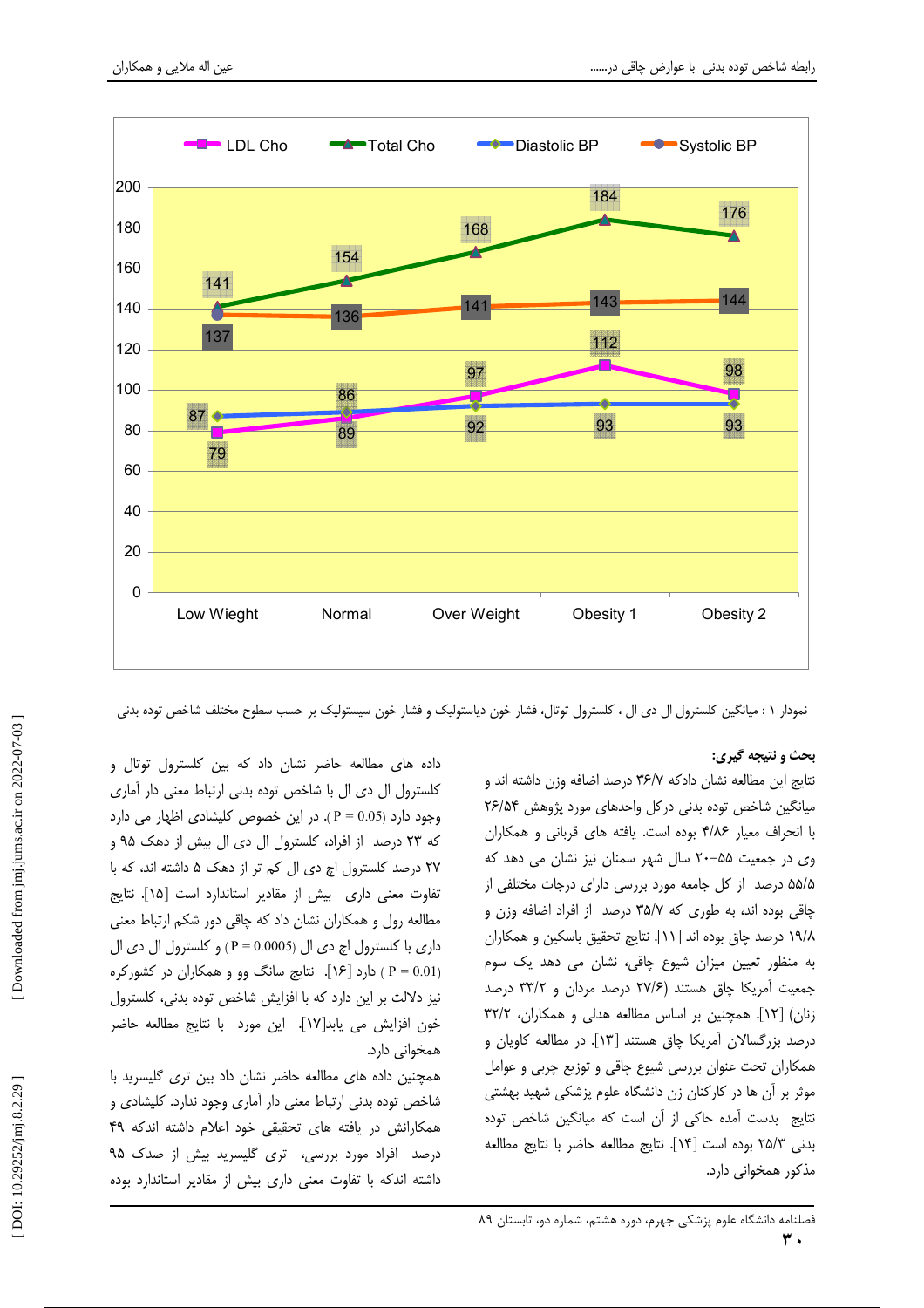

نمودار ۱ : میانگین کلسترول ال دی ال ، کلسترول توتال، فشار خون دیاستولیک و فشار خون سیستولیک بر حسب سطوح مختلف شاخص توده بدنی

## بحث و نتیجه گیری:

نتايج اين مطالعه نشان دادكه ٣۶/٧ درصد اضافه وزن داشته اند و میانگین شاخص توده بدنی در کل واحدهای مورد پژوهش ۲۶/۵۴ با انحراف معیار ۴/۸۶ بوده است. یافته های قربانی و همکاران وی در جمعیت ۵۵–۲۰ سال شهر سمنان نیز نشان می دهد که ۵۵/۵ درصد از کل جامعه مورد بررسی دارای درجات مختلفی از چاقی بوده اند، به طوری که ۳۵/۷ درصد از افراد اضافه وزن و ١٩/٨ درصد چاق بوده اند [١١]. نتايج تحقيق باسكين و همكاران به منظور تعیین میزان شیوع چاقی، نشان می دهد یک سوم جمعیت آمریکا چاق هستند (۲۷/۶ درصد مردان و ۳۳/۲ درصد زنان) [۱۲]. همچنین بر اساس مطالعه هدلی و همکاران، ۳۲/۲ درصد بزرگسالان آمریکا چاق هستند [۱۳]. در مطالعه کاویان و همکاران تحت عنوان بررسی شیوع چاقی و توزیع چربی و عوامل موثر بر آن ها در کارکنان زن دانشگاه علوم پزشکی شهید بهشتی نتایج بدست آمده حاکی از آن است که میانگین شاخص توده بدني ٢٥/٣ بوده است [١۴]. نتايج مطالعه حاضر با نتايج مطالعه مذکور همخوانی دارد.

داده های مطالعه حاضر نشان داد که بین کلسترول توتال و كلسترول ال دى ال با شاخص توده بدنى ارتباط معنى دار آمارى وجود دارد (P = 0.05). در این خصوص کلیشادی اظهار می دارد که ۲۳ درصد از افراد، کلسترول ال دی ال بیش از دهک ۹۵ و ۲۷ درصد کلسترول اچ دی ال کم تر از دهک ۵ داشته اند، که با تفاوت معنی داری پیش از مقادیر استاندارد است [۱۵]. نتایج مطالعه رول و همکاران نشان داد که چاقی دور شکم ارتباط معنی داري با كلسترول اچ دي ال (P = 0.0005 ) و كلسترول ال دي ال (P = 0.01) دارد [۱۶]. نتایج سانگ وو و همکاران در کشورکره نیز دلالت بر این دارد که با افزایش شاخص توده بدنی، کلسترول خون افزايش مي يابد[١٧]. اين مورد با نتايج مطالعه حاضر همخوانی دارد.

همچنین داده های مطالعه حاضر نشان داد بین تری گلیسرید با شاخص توده بدنی ارتباط معنی دار آماری وجود ندارد. کلیشادی و همکارانش در یافته های تحقیقی خود اعلام داشته اندکه ۴۹ درصد افراد مورد بررسی، تری گلیسرید بیش از صدک ۹۵ داشته اندکه با تفاوت معنی داری بیش از مقادیر استاندارد بوده

فصلنامه دانشگاه علوم پزشکی جهرم، دوره هشتم، شماره دو، تابستان ۸۹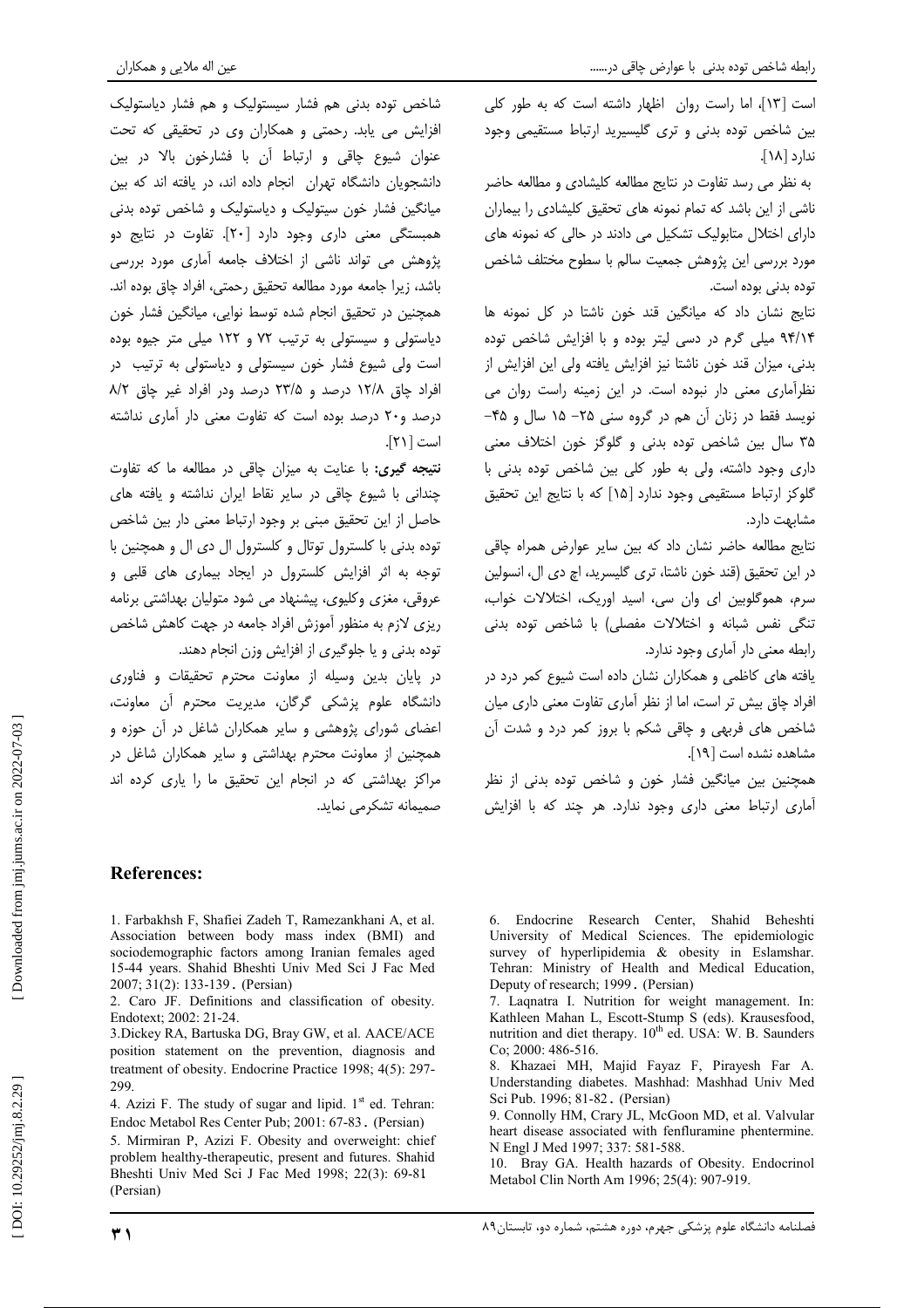عین اله ملایی و همکاران

است [١٣]، اما راست روان اظهار داشته است كه به طور كلي بین شاخص توده بدنی و تری گلیسیرید ارتباط مستقیمی وجود ندارد [۱۸].

به نظر می رسد تفاوت در نتایج مطالعه کلیشادی و مطالعه حاضر ناشی از این باشد که تمام نمونه های تحقیق کلیشادی را بیماران دارای اختلال متابولیک تشکیل می دادند در حالی که نمونه های مورد بررسی این پژوهش جمعیت سالم با سطوح مختلف شاخص توده بدنی بوده است.

نتايج نشان داد كه ميانگين قند خون ناشتا در كل نمونه ها ۹۴/۱۴ میلی گرم در دسی لیتر بوده و با افزایش شاخص توده بدنی، میزان قند خون ناشتا نیز افزایش یافته ولی این افزایش از نظرآماری معنی دار نبوده است. در این زمینه راست روان می نویسد فقط در زنان آن هم در گروه سنی ۲۵– ۱۵ سال و ۴۵– ۳۵ سال بین شاخص توده بدنی و گلوگز خون اختلاف معنی داری وجود داشته، ولی به طور کلی بین شاخص توده بدنی با گلوکز ارتباط مستقیمی وجود ندارد [۱۵] که با نتایج این تحقیق مشابهت دارد.

نتايج مطالعه حاضر نشان داد كه بين ساير عوارض همراه چاقى در این تحقیق (قند خون ناشتا، تری گلیسرید، اچ دی ال، انسولین سرم، هموگلوبین ای وان سی، اسید اوریک، اختلالات خواب، تنگی نفس شبانه و اختلالات مفصلی) با شاخص توده بدنی رابطه معنی دار آماری وجود ندارد.

بافته های کاظمی و همکاران نشان داده است شیوع کمر درد در افراد چاق بیش تر است، اما از نظر آماری تفاوت معنی داری میان شاخص های فربهی و چاقی شکم با بروز کمر درد و شدت آن مشاهده نشده است [١٩].

همچنین بین میانگین فشار خون و شاخص توده بدنی از نظر آماری ارتباط معنی داری وجود ندارد. هر چند که با افزایش

شاخص توده بدنی هم فشار سیستولیک و هم فشار دیاستولیک افزایش می یابد. رحمتی و همکاران وی در تحقیقی که تحت عنوان شیوع چاقی و ارتباط آن با فشارخون بالا در بین دانشجویان دانشگاه تهران انجام داده اند، در یافته اند که بین میانگین فشار خون سیتولیک و دیاستولیک و شاخص توده بدنی همبستگی معنی داری وجود دارد [۲۰]. تفاوت در نتایج دو پژوهش می تواند ناشی از اختلاف جامعه آماری مورد بررسی باشد، زيرا جامعه مورد مطالعه تحقيق رحمتي، افراد چاق بوده اند. همچنین در تحقیق انجام شده توسط نوایی، میانگین فشار خون دیاستولی و سیستولی به ترتیب ۷۲ و ۱۲۲ میلی متر جیوه بوده است ولی شیوع فشار خون سیستولی و دیاستولی به ترتیب در افراد چاق ١٢/٨ درصد و ٢٣/۵ درصد ودر افراد غير چاق ٨/٢ درصد و۲۰ درصد بوده است که تفاوت معنی دار آماری نداشته است [٢١].

**نتيجه گيري:** با عنايت به ميزان چاقي در مطالعه ما كه تفاوت چندانی با شیوع چاقی در سایر نقاط ایران نداشته و یافته های حاصل از این تحقیق مبنی بر وجود ارتباط معنی دار بین شاخص توده بدنی با کلسترول توتال و کلسترول ال دی ال و همچنین با توجه به اثر افزایش کلسترول در ایجاد بیماری های قلبی و عروقی، مغزی وکلیوی، پیشنهاد می شود متولیان بهداشتی برنامه ریزی لازم به منظور آموزش افراد جامعه در جهت کاهش شاخص توده بدنی و یا جلوگیری از افزایش وزن انجام دهند.

در بابان بدین وسیله از معاونت محترم تحقیقات و فناوری دانشگاه علوم پزشکی گرگان، مدیریت محترم آن معاونت، اعضای شورای پژوهشی و سایر همکاران شاغل در آن حوزه و همچنین از معاونت محترم بهداشتی و سایر همکاران شاغل در مراکز بهداشتی که در انجام این تحقیق ما را پاری کرده اند صمیمانه تشکرمی نماید.

# **References:**

 $\mathbf{r}$ 

1. Farbakhsh F, Shafiei Zadeh T, Ramezankhani A, et al. Association between body mass index (BMI) and sociodemographic factors among Iranian females aged 15-44 years. Shahid Bheshti Univ Med Sci J Fac Med 2007; 31(2): 133-139. (Persian)

2. Caro JF. Definitions and classification of obesity. Endotext; 2002: 21-24.

3. Dickey RA, Bartuska DG, Bray GW, et al. AACE/ACE position statement on the prevention, diagnosis and treatment of obesity. Endocrine Practice 1998; 4(5): 297-299.

4. Azizi F. The study of sugar and lipid.  $1<sup>st</sup>$  ed. Tehran: Endoc Metabol Res Center Pub; 2001: 67-83. (Persian)

5. Mirmiran P, Azizi F. Obesity and overweight: chief problem healthy-therapeutic, present and futures. Shahid Bheshti Univ Med Sci J Fac Med 1998; 22(3): 69-81 (Persian)

<sup>6.</sup> Endocrine Research Center, Shahid Beheshti University of Medical Sciences. The epidemiologic survey of hyperlipidemia & obesity in Eslamshar. Tehran: Ministry of Health and Medical Education, Deputy of research; 1999. (Persian)

<sup>7.</sup> Laqnatra I. Nutrition for weight management. In: Kathleen Mahan L, Escott-Stump S (eds). Krausesfood, nutrition and diet therapy. 10<sup>th</sup> ed. USA: W. B. Saunders Co: 2000: 486-516.

<sup>8.</sup> Khazaei MH, Majid Fayaz F, Pirayesh Far A. Understanding diabetes. Mashhad: Mashhad Univ Med Sci Pub. 1996; 81-82. (Persian)

<sup>9.</sup> Connolly HM, Crary JL, McGoon MD, et al. Valvular heart disease associated with fenfluramine phentermine. N Engl J Med 1997; 337: 581-588.

<sup>10.</sup> Bray GA. Health hazards of Obesity. Endocrinol Metabol Clin North Am 1996; 25(4): 907-919.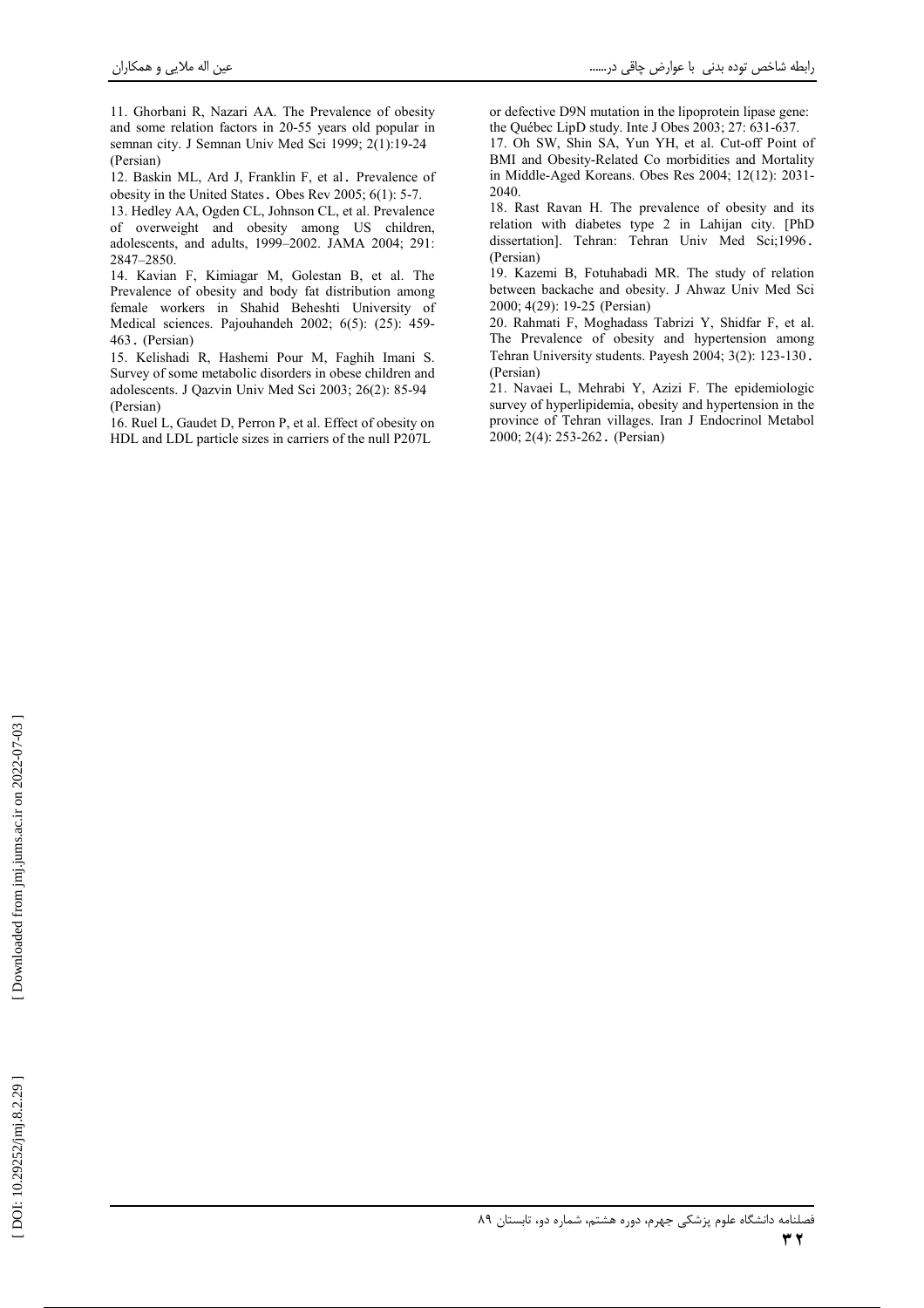11. Ghorbani R, Nazari AA. The Prevalence of obesity and some relation factors in 20-55 years old popular in semnan city. J Semnan Univ Med Sci 1999; 2(1):19-24 (Persian)

12. Baskin ML, Ard J, Franklin F, et al. Prevalence of obesity in the United States. Obes Rev 2005; 6(1): 5-7.

13. Hedley AA, Ogden CL, Johnson CL, et al. Prevalence of overweight and obesity among US children, adolescents, and adults, 1999-2002. JAMA 2004; 291: 2847-2850.

14. Kavian F, Kimiagar M, Golestan B, et al. The Prevalence of obesity and body fat distribution among female workers in Shahid Beheshti University of Medical sciences. Pajouhandeh 2002; 6(5): (25): 459-463. (Persian)

15. Kelishadi R, Hashemi Pour M, Faghih Imani S. Survey of some metabolic disorders in obese children and adolescents. J Qazvin Univ Med Sci 2003; 26(2): 85-94 (Persian)

16. Ruel L, Gaudet D, Perron P, et al. Effect of obesity on HDL and LDL particle sizes in carriers of the null P207L

or defective D9N mutation in the lipoprotein lipase gene: the Ouébec LipD study. Inte J Obes  $2003: 27: 631-637$ .

17. Oh SW, Shin SA, Yun YH, et al. Cut-off Point of BMI and Obesity-Related Co morbidities and Mortality in Middle-Aged Koreans. Obes Res 2004; 12(12): 2031-2040.

18. Rast Ravan H. The prevalence of obesity and its relation with diabetes type 2 in Lahijan city. [PhD dissertation]. Tehran: Tehran Univ Med Sci;1996. (Persian)

19. Kazemi B, Fotuhabadi MR. The study of relation between backache and obesity. J Ahwaz Univ Med Sci 2000; 4(29): 19-25 (Persian)

20. Rahmati F, Moghadass Tabrizi Y, Shidfar F, et al. The Prevalence of obesity and hypertension among Tehran University students. Payesh 2004; 3(2): 123-130. (Persian)

21. Navaei L. Mehrabi Y. Azizi F. The epidemiologic survey of hyperlipidemia, obesity and hypertension in the province of Tehran villages. Iran J Endocrinol Metabol 2000: 2(4): 253-262. (Persian)

 $\tau$